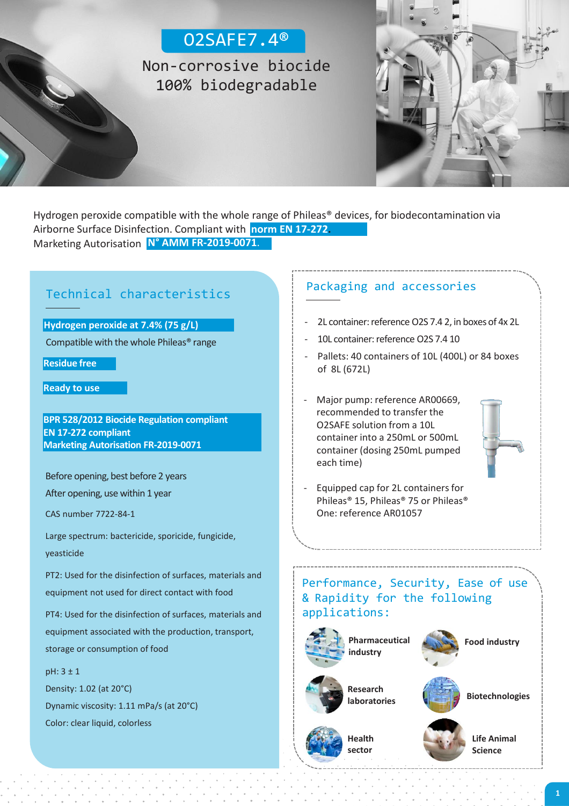# O2SAFE7.4®

Non-corrosive biocide 100% biodegradable



**N° AMM FR-2019-0071**. Marketing Autorisation Hydrogen peroxide compatible with the whole range of Phileas® devices, for biodecontamination via Airborne Surface Disinfection. Compliant with **norm EN 17-272.**

# Packaging and accessories Technical characteristics

**Hydrogen peroxide at 7.4% (75 g/L)**

Compatible with the whole Phileas® range

**Residue free**

**Ready to use**

**BPR 528/2012 Biocide Regulation compliant EN 17-272 compliant Marketing Autorisation FR-2019-0071**

Before opening, best before 2 years

After opening, use within 1 year

CAS number 7722-84-1

Large spectrum: bactericide, sporicide, fungicide, yeasticide

PT2: Used for the disinfection of surfaces, materials and equipment not used for direct contact with food

PT4: Used for the disinfection of surfaces, materials and equipment associated with the production, transport, storage or consumption of food

pH: 3 ± 1 Density: 1.02 (at 20°C) Dynamic viscosity: 1.11 mPa/s (at 20°C) Color: clear liquid, colorless

- 2L container: reference O2S 7.4 2, in boxes of 4x 2L
- 10L container: reference O2S 7.4 10
- Pallets: 40 containers of 10L (400L) or 84 boxes of 8L (672L)
- Major pump: reference AR00669, recommended to transfer the O2SAFE solution from a 10L container into a 250mL or 500mL container (dosing 250mL pumped each time)



- Equipped cap for 2L containers for Phileas® 15, Phileas® 75 or Phileas® One: reference AR01057

#### Performance, Security, Ease of use & Rapidity for the following applications:



**Research laboratories**





**Food industry**

**Health sector**

**Life Animal Science**